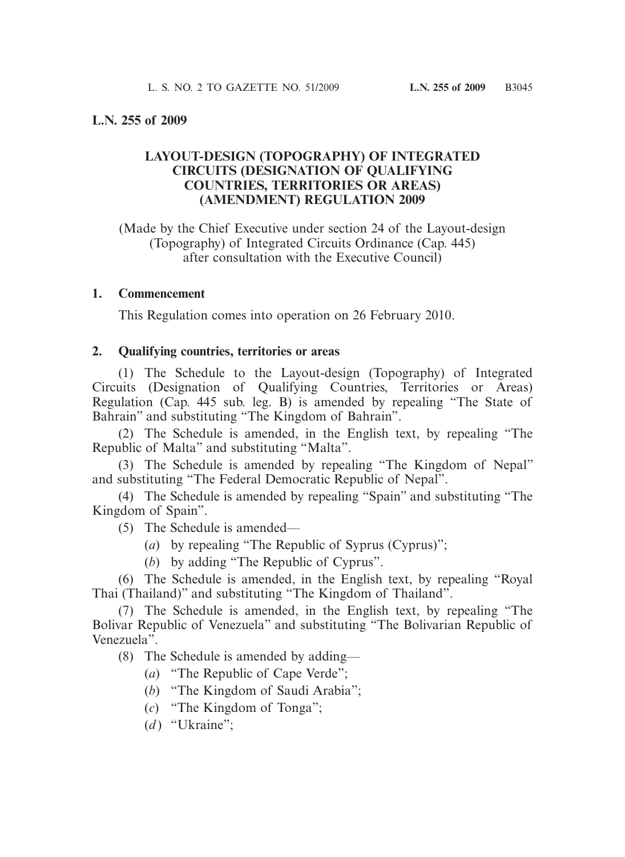## **L.N. 255 of 2009**

## **LAYOUT-DESIGN (TOPOGRAPHY) OF INTEGRATED CIRCUITS (DESIGNATION OF QUALIFYING COUNTRIES, TERRITORIES OR AREAS) (AMENDMENT) REGULATION 2009**

(Made by the Chief Executive under section 24 of the Layout-design (Topography) of Integrated Circuits Ordinance (Cap. 445) after consultation with the Executive Council)

#### **1. Commencement**

This Regulation comes into operation on 26 February 2010.

### **2. Qualifying countries, territories or areas**

 (1) The Schedule to the Layout-design (Topography) of Integrated Circuits (Designation of Qualifying Countries, Territories or Areas) Regulation (Cap. 445 sub. leg. B) is amended by repealing "The State of Bahrain" and substituting "The Kingdom of Bahrain".

 (2) The Schedule is amended, in the English text, by repealing "The Republic of Malta" and substituting "Malta".

 (3) The Schedule is amended by repealing "The Kingdom of Nepal" and substituting "The Federal Democratic Republic of Nepal".

 (4) The Schedule is amended by repealing "Spain" and substituting "The Kingdom of Spain".

(5) The Schedule is amended—

- (*a*) by repealing "The Republic of Syprus (Cyprus)";
- (*b*) by adding "The Republic of Cyprus".

 (6) The Schedule is amended, in the English text, by repealing "Royal Thai (Thailand)" and substituting "The Kingdom of Thailand".

 (7) The Schedule is amended, in the English text, by repealing "The Bolivar Republic of Venezuela" and substituting "The Bolivarian Republic of Venezuela".

(8) The Schedule is amended by adding—

- (*a*) "The Republic of Cape Verde";
- (*b*) "The Kingdom of Saudi Arabia";
- (*c*) "The Kingdom of Tonga";
- $(d)$  "Ukraine":